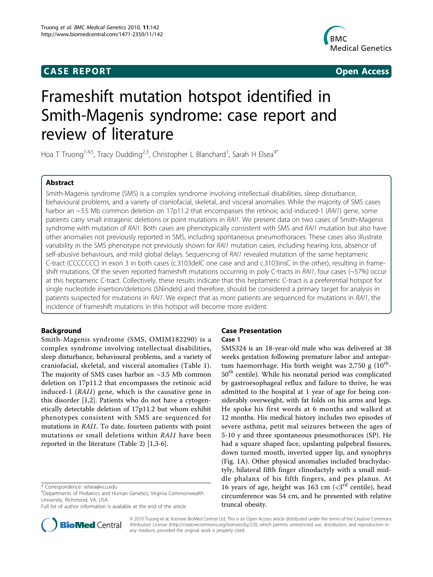# **CASE REPORT CASE REPORT CASE REPORT**



# Frameshift mutation hotspot identified in Smith-Magenis syndrome: case report and review of literature

Hoa T Truong<sup>1,4,5</sup>, Tracy Dudding<sup>2,3</sup>, Christopher L Blanchard<sup>1</sup>, Sarah H Elsea<sup>4\*</sup>

# Abstract

Smith-Magenis syndrome (SMS) is a complex syndrome involving intellectual disabilities, sleep disturbance, behavioural problems, and a variety of craniofacial, skeletal, and visceral anomalies. While the majority of SMS cases harbor an ~3.5 Mb common deletion on 17p11.2 that encompasses the retinoic acid induced-1 (RAI1) gene, some patients carry small intragenic deletions or point mutations in RAI1. We present data on two cases of Smith-Magenis syndrome with mutation of RAI1. Both cases are phenotypically consistent with SMS and RAI1 mutation but also have other anomalies not previously reported in SMS, including spontaneous pneumothoraces. These cases also illustrate variability in the SMS phenotype not previously shown for RAI1 mutation cases, including hearing loss, absence of self-abusive behaviours, and mild global delays. Sequencing of RAI1 revealed mutation of the same heptameric C-tract (CCCCCCC) in exon 3 in both cases (c.3103delC one case and and c.3103insC in the other), resulting in frameshift mutations. Of the seven reported frameshift mutations occurring in poly C-tracts in RAI1, four cases (~57%) occur at this heptameric C-tract. Collectively, these results indicate that this heptameric C-tract is a preferential hotspot for single nucleotide insertion/deletions (SNindels) and therefore, should be considered a primary target for analysis in patients suspected for mutations in RAI1. We expect that as more patients are sequenced for mutations in RAI1, the incidence of frameshift mutations in this hotspot will become more evident.

# Background

Smith-Magenis syndrome (SMS, OMIM182290) is a complex syndrome involving intellectual disabilities, sleep disturbance, behavioural problems, and a variety of craniofacial, skeletal, and visceral anomalies (Table [1](#page-1-0)). The majority of SMS cases harbor an  $\sim$ 3.5 Mb common deletion on 17p11.2 that encompasses the retinoic acid induced-1 (RAI1) gene, which is the causative gene in this disorder [[1,2](#page-4-0)]. Patients who do not have a cytogenetically detectable deletion of 17p11.2 but whom exhibit phenotypes consistent with SMS are sequenced for mutations in RAI1. To date, fourteen patients with point mutations or small deletions within RAI1 have been reported in the literature (Table [2](#page-1-0)) [[1,3-6](#page-4-0)].



# Case 1

SMS324 is an 18-year-old male who was delivered at 38 weeks gestation following premature labor and antepartum haemorrhage. His birth weight was 2,750 g  $(10^{th}$ -50<sup>th</sup> centile). While his neonatal period was complicated by gastroesophageal reflux and failure to thrive, he was admitted to the hospital at 1 year of age for being considerably overweight, with fat folds on his arms and legs. He spoke his first words at 6 months and walked at 12 months. His medical history includes two episodes of severe asthma, petit mal seizures between the ages of 5-10 y and three spontaneous pneumothoraces (SP). He had a square shaped face, upslanting palpebral fissures, down turned mouth, inverted upper lip, and synophrys (Fig. [1A\)](#page-2-0). Other physical anomalies included brachydactyly, bilateral fifth finger clinodactyly with a small middle phalanx of his fifth fingers, and pes planus. At 16 years of age, height was 163 cm  $(*3*<sup>rd</sup> centile)$ , head circumference was 54 cm, and he presented with relative truncal obesity.



© 2010 Truong et al; licensee BioMed Central Ltd. This is an Open Access article distributed under the terms of the Creative Commons Attribution License [\(http://creativecommons.org/licenses/by/2.0](http://creativecommons.org/licenses/by/2.0)), which permits unrestricted use, distribution, and reproduction in any medium, provided the original work is properly cited.

<sup>\*</sup> Correspondence: [selsea@vcu.edu](mailto:selsea@vcu.edu)

<sup>4</sup> Departments of Pediatrics and Human Genetics, Virginia Commonwealth University, Richmond, VA, USA

Full list of author information is available at the end of the article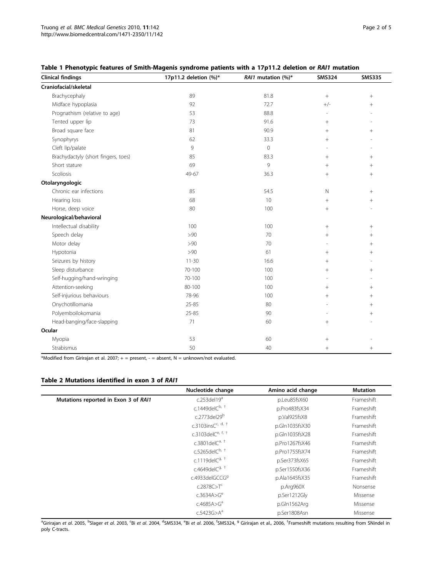| <b>Clinical findings</b>            | 17p11.2 deletion (%)* | RAI1 mutation (%)*  | <b>SMS324</b>    | <b>SMS335</b>   |
|-------------------------------------|-----------------------|---------------------|------------------|-----------------|
| Craniofacial/skeletal               |                       |                     |                  |                 |
| Brachycephaly                       | 89                    | 81.8                | $\boldsymbol{+}$ | $\! + \!\!\!\!$ |
| Midface hypoplasia                  | 92                    | 72.7                | $+/-$            | $^{+}$          |
| Prognathism (relative to age)       | 53                    | 88.8                | ٠                | ٠               |
| Tented upper lip                    | 73                    | 91.6                | $^{+}$           |                 |
| Broad square face                   | 81                    | 90.9                | $^{+}$           | $^{+}$          |
| Synophyrys                          | 62                    | 33.3                | $+$              |                 |
| Cleft lip/palate                    | 9                     | $\mathsf{O}\xspace$ |                  |                 |
| Brachydactyly (short fingers, toes) | 85                    | 83.3                | $^{+}$           | $^{+}$          |
| Short stature                       | 69                    | 9                   | $+$              | $^{+}$          |
| Scoliosis                           | 49-67                 | 36.3                | $^{+}$           | $^{+}$          |
| Otolaryngologic                     |                       |                     |                  |                 |
| Chronic ear infections              | 85                    | 54.5                | $\mathbb N$      | $^{+}$          |
| Hearing loss                        | 68                    | 10                  | $^{+}$           | $^{+}$          |
| Horse, deep voice                   | 80                    | 100                 | $+$              | J.              |
| Neurological/behavioral             |                       |                     |                  |                 |
| Intellectual disability             | 100                   | 100                 | $\! + \!\!\!\!$  | $^{+}$          |
| Speech delay                        | >90                   | 70                  | $+$              | $^{+}$          |
| Motor delay                         | >90                   | 70                  |                  | $^{+}$          |
| Hypotonia                           | >90                   | 61                  | $+$              | $^{+}$          |
| Seizures by history                 | $11 - 30$             | 16.6                | $^{+}$           | ٠               |
| Sleep disturbance                   | 70-100                | 100                 | $+$              | $^{+}$          |
| Self-hugging/hand-wringing          | 70-100                | 100                 |                  |                 |
| Attention-seeking                   | 80-100                | 100                 | $^{+}$           | $^{+}$          |
| Self-injurious behaviours           | 78-96                 | 100                 | $+$              | $^{+}$          |
| Onychotillomania                    | 25-85                 | 80                  |                  | $^{+}$          |
| Polyemboilokomania                  | 25-85                 | 90                  |                  | $^{+}$          |
| Head-banging/face-slapping          | 71                    | 60                  | $+$              | L,              |
| Ocular                              |                       |                     |                  |                 |
| Myopia                              | 53                    | 60                  | $\! + \!\!\!\!$  |                 |
| Strabismus                          | 50                    | 40                  | $^{+}$           | $^{+}$          |

# <span id="page-1-0"></span>Table 1 Phenotypic features of Smith-Magenis syndrome patients with a 17p11.2 deletion or RAI1 mutation

\*Modified from Girirajan et al. 2007;  $+$  = present,  $-$  = absent, N = unknown/not evaluated.

### Table 2 Mutations identified in exon 3 of RAI1

|                                      | Nucleotide change          | Amino acid change | <b>Mutation</b> |
|--------------------------------------|----------------------------|-------------------|-----------------|
| Mutations reported in Exon 3 of RAI1 | c.253del19 $a$             | p.Leu85fsX60      | Frameshift      |
|                                      | c.1449del $C^{b, +}$       | p.Pro483fsX34     | Frameshift      |
|                                      | c.2773del29 <sup>b</sup>   | p.Val925fsX8      | Frameshift      |
|                                      | c.3103ins $C^{c, d, +}$    | p.Gln1035fsX30    | Frameshift      |
|                                      | c.3103del $C^{e, f, +}$    | p.Gln1035fsX28    | Frameshift      |
|                                      | c.3801 del $C^{a, +}$      | p.Pro1267fsX46    | Frameshift      |
|                                      | c.5265del $C^{b, +}$       | p.Pro1755fsX74    | Frameshift      |
|                                      | c.1119del $C^{9,+}$        | p.Ser373fsX65     | Frameshift      |
|                                      | c.4649delC <sup>g, †</sup> | p.Ser1550fsX36    | Frameshift      |
|                                      | c.4933delGCCG9             | p.Ala1645fsX35    | Frameshift      |
|                                      | c.2878C > T <sup>c</sup>   | p.Arg960X         | Nonsense        |
|                                      | c.3634A>G <sup>e</sup>     | p.Ser1212Gly      | Missense        |
|                                      | c.4685A>G <sup>a</sup>     | p.Gln1562Arg      | Missense        |
|                                      | c.5423G > A <sup>a</sup>   | p.Ser1808Asn      | Missense        |

<sup>a</sup>Girirajan *et al.* 2005, <sup>b</sup>Slager *et al.* 2003, ʿBi *et al.* 2004, <sup>d</sup>SMS334, ˚Bi *et al. 2006, <sup>f</sup>SMS324, ª Girirajan et al., 2006, <sup>†</sup>Frameshift mutations resulting from SNindel in* poly C-tracts.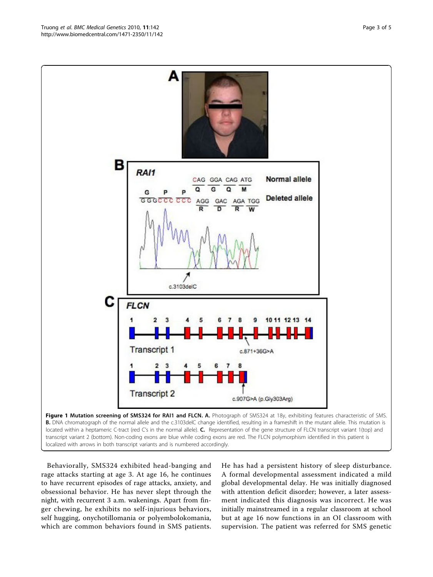<span id="page-2-0"></span>

Behaviorally, SMS324 exhibited head-banging and rage attacks starting at age 3. At age 16, he continues to have recurrent episodes of rage attacks, anxiety, and obsessional behavior. He has never slept through the night, with recurrent 3 a.m. wakenings. Apart from finger chewing, he exhibits no self-injurious behaviors, self hugging, onychotillomania or polyembolokomania, which are common behaviors found in SMS patients.

He has had a persistent history of sleep disturbance. A formal developmental assessment indicated a mild global developmental delay. He was initially diagnosed with attention deficit disorder; however, a later assessment indicated this diagnosis was incorrect. He was initially mainstreamed in a regular classroom at school but at age 16 now functions in an OI classroom with supervision. The patient was referred for SMS genetic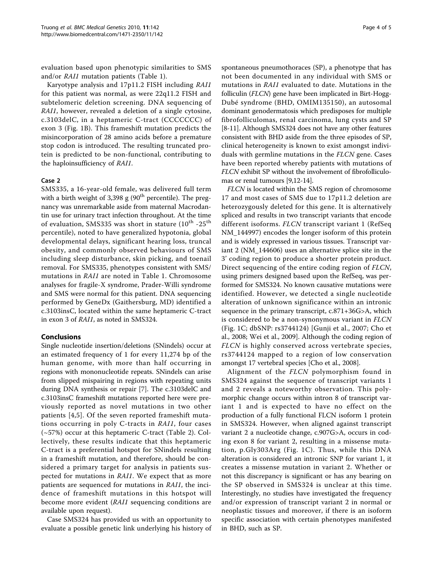evaluation based upon phenotypic similarities to SMS and/or RAI1 mutation patients (Table [1\)](#page-1-0).

Karyotype analysis and 17p11.2 FISH including RAI1 for this patient was normal, as were 22q11.2 FISH and subtelomeric deletion screening. DNA sequencing of RAI1, however, revealed a deletion of a single cytosine, c.3103delC, in a heptameric C-tract (CCCCCCC) of exon 3 (Fig. [1B\)](#page-2-0). This frameshift mutation predicts the misincorporation of 28 amino acids before a premature stop codon is introduced. The resulting truncated protein is predicted to be non-functional, contributing to the haploinsufficiency of RAI1.

# Case 2

SMS335, a 16-year-old female, was delivered full term with a birth weight of 3,398 g  $(90<sup>th</sup>$  percentile). The pregnancy was unremarkable aside from maternal Macrodantin use for urinary tract infection throughout. At the time of evaluation, SMS335 was short in stature  $(10^{th}$  -25<sup>th</sup> percentile), noted to have generalized hypotonia, global developmental delays, significant hearing loss, truncal obesity, and commonly observed behaviours of SMS including sleep disturbance, skin picking, and toenail removal. For SMS335, phenotypes consistent with SMS/ mutations in RAI1 are noted in Table [1](#page-1-0). Chromosome analyses for fragile-X syndrome, Prader-Willi syndrome and SMS were normal for this patient. DNA sequencing performed by GeneDx (Gaithersburg, MD) identified a c.3103insC, located within the same heptameric C-tract in exon 3 of RAI1, as noted in SMS324.

# Conclusions

Single nucleotide insertion/deletions (SNindels) occur at an estimated frequency of 1 for every 11,274 bp of the human genome, with more than half occurring in regions with mononucleotide repeats. SNindels can arise from slipped mispairing in regions with repeating units during DNA synthesis or repair [\[7](#page-4-0)]. The c.3103delC and c.3103insC frameshift mutations reported here were previously reported as novel mutations in two other patients [\[4,5](#page-4-0)]. Of the seven reported frameshift mutations occurring in poly C-tracts in RAI1, four cases (~57%) occur at this heptameric C-tract (Table [2\)](#page-1-0). Collectively, these results indicate that this heptameric C-tract is a preferential hotspot for SNindels resulting in a frameshift mutation, and therefore, should be considered a primary target for analysis in patients suspected for mutations in RAI1. We expect that as more patients are sequenced for mutations in RAI1, the incidence of frameshift mutations in this hotspot will become more evident (RAI1 sequencing conditions are available upon request).

Case SMS324 has provided us with an opportunity to evaluate a possible genetic link underlying his history of spontaneous pneumothoraces (SP), a phenotype that has not been documented in any individual with SMS or mutations in RAI1 evaluated to date. Mutations in the folliculin (FLCN) gene have been implicated in Birt-Hogg-Dubé syndrome (BHD, OMIM135150), an autosomal dominant genodermatosis which predisposes for multiple fibrofolliculomas, renal carcinoma, lung cysts and SP [[8-11\]](#page-4-0). Although SMS324 does not have any other features consistent with BHD aside from the three episodes of SP, clinical heterogeneity is known to exist amongst individuals with germline mutations in the FLCN gene. Cases have been reported whereby patients with mutations of FLCN exhibit SP without the involvement of fibrofolliculomas or renal tumours [[9,12](#page-4-0)-[14](#page-4-0)].

FLCN is located within the SMS region of chromosome 17 and most cases of SMS due to 17p11.2 deletion are heterozygously deleted for this gene. It is alternatively spliced and results in two transcript variants that encode different isoforms. FLCN transcript variant 1 (RefSeq NM\_144997) encodes the longer isoform of this protein and is widely expressed in various tissues. Transcript variant 2 (NM\_144606) uses an alternative splice site in the 3' coding region to produce a shorter protein product. Direct sequencing of the entire coding region of FLCN, using primers designed based upon the RefSeq, was performed for SMS324. No known causative mutations were identified. However, we detected a single nucleotide alteration of unknown significance within an intronic sequence in the primary transcript, c.871+36G>A, which is considered to be a non-synonymous variant in FLCN (Fig. [1C](#page-2-0); dbSNP: rs3744124) [Gunji et al., 2007; Cho et al., 2008; Wei et al., 2009]. Although the coding region of FLCN is highly conserved across vertebrate species, rs3744124 mapped to a region of low conservation amongst 17 vertebral species [Cho et al., 2008].

Alignment of the FLCN polymorphism found in SMS324 against the sequence of transcript variants 1 and 2 reveals a noteworthy observation. This polymorphic change occurs within intron 8 of transcript variant 1 and is expected to have no effect on the production of a fully functional FLCN isoform 1 protein in SMS324. However, when aligned against transcript variant 2 a nucleotide change, c.907G>A, occurs in coding exon 8 for variant 2, resulting in a missense mutation, p.Gly303Arg (Fig. [1C](#page-2-0)). Thus, while this DNA alteration is considered an intronic SNP for variant 1, it creates a missense mutation in variant 2. Whether or not this discrepancy is significant or has any bearing on the SP observed in SMS324 is unclear at this time. Interestingly, no studies have investigated the frequency and/or expression of transcript variant 2 in normal or neoplastic tissues and moreover, if there is an isoform specific association with certain phenotypes manifested in BHD, such as SP.